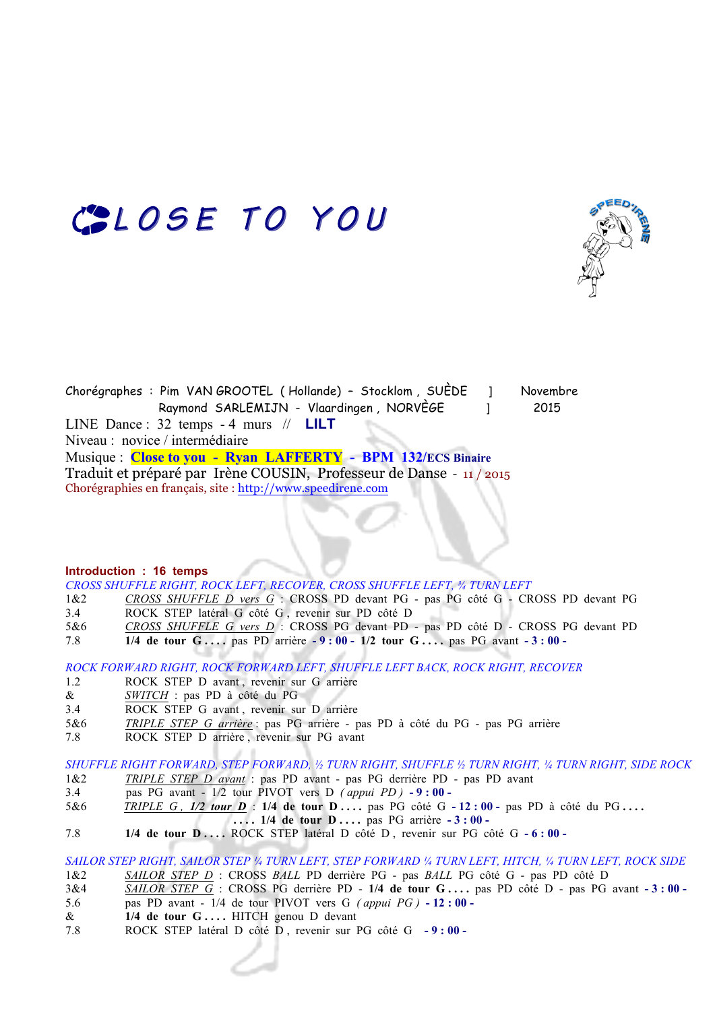# COLOSE TO YOU



Chorégraphes : Pim VAN GROOTEL ( Hollande) – Stocklom , SUÈDE ] Novembre Raymond SARLEMIJN - Vlaardingen , NORVÈGE 1 2015 LINE Dance : 32 temps - 4 murs // **LILT** Niveau : novice / intermédiaire Musique : **Close to you - Ryan LAFFERTY - BPM 132/ECS Binaire** Traduit et préparé par Irène COUSIN, Professeur de Danse - 11 / 2015 Chorégraphies en français, site : http://www.speedirene.com

#### **Introduction : 16 temps**

*CROSS SHUFFLE RIGHT, ROCK LEFT, RECOVER, CROSS SHUFFLE LEFT, ¾ TURN LEFT*

- 1&2 *CROSS SHUFFLE D vers G* :CROSS PD devant PG pas PG côté G CROSS PD devant PG 3.4 ROCK STEP latéral G côté G , revenir sur PD côté D
- 5&6 *CROSS SHUFFLE G vers D* :CROSS PG devant PD pas PD côté D CROSS PG devant PD
- 7.8 **1/4 de tour G . . . .** pas PD arrière **- 9 : 00 1/2 tour G . . . .** pas PG avant **- 3 : 00**

*ROCK FORWARD RIGHT, ROCK FORWARD LEFT, SHUFFLE LEFT BACK, ROCK RIGHT, RECOVER*

- 1.2 ROCK STEP D avant, revenir sur G arrière
- & *SWITCH* : pas PD à côté du PG
- 3.4 ROCK STEP G avant , revenir sur D arrière
- 5&6 *TRIPLE STEP G arrière* : pas PG arrière pas PD à côté du PG pas PG arrière
- 7.8 ROCK STEP D arrière , revenir sur PG avant

*SHUFFLE RIGHT FORWARD, STEP FORWARD, ½ TURN RIGHT, SHUFFLE ½ TURN RIGHT, ¼ TURN RIGHT, SIDE ROCK*

- 1&2 *TRIPLE STEP D avant* : pas PD avant pas PG derrière PD pas PD avant
- 3.4 pas PG avant 1/2 tour PIVOT vers D *( appui PD )* **- 9 : 00**
- 5&6 **TRIPLE G, 1/2 tour D** : 1/4 de tour D ... . pas PG côté G 12 : 00 pas PD à côté du PG ...

 **. . . . 1/4 de tour D . . . .** pas PG arrière **- 3 : 00 -** 

7.8 **1/4 de tour D . . . .** ROCK STEP latéral D côté D , revenir sur PG côté G **- 6 : 00 -** 

## *SAILOR STEP RIGHT, SAILOR STEP ¼ TURN LEFT, STEP FORWARD ¼ TURN LEFT, HITCH, ¼ TURN LEFT, ROCK SIDE*

1&2 *SAILOR STEP D* :CROSS *BALL* PD derrière PG - pas *BALL* PG côté G - pas PD côté D

- 3&4 *SAILOR STEP G* :CROSS PG derrière PD **1/4 de tour G . . . .** pas PD côté D pas PG avant **- 3 : 00**  5.6 pas PD avant - 1/4 de tour PIVOT vers G *( appui PG )* **- 12 : 00 -**
- & **1/4 de tour G . . . .** HITCH genou D devant
- 7.8 ROCK STEP latéral D côté D , revenir sur PG côté G **- 9 : 00**